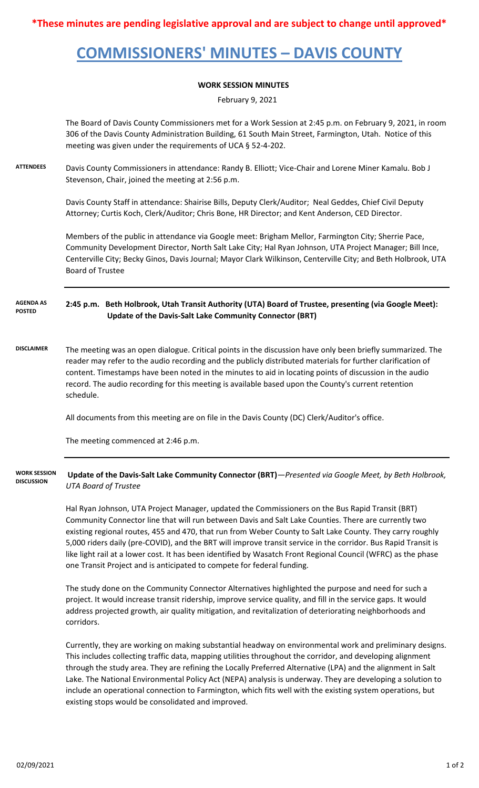**\*These minutes are pending legislative approval and are subject to change until approved\***

## **COMMISSIONERS' MINUTES – DAVIS COUNTY**

## **WORK SESSION MINUTES**

February 9, 2021

The Board of Davis County Commissioners met for a Work Session at 2:45 p.m. on February 9, 2021, in room 306 of the Davis County Administration Building, 61 South Main Street, Farmington, Utah. Notice of this meeting was given under the requirements of UCA § 52-4-202.

**ATTENDEES** Davis County Commissioners in attendance: Randy B. Elliott; Vice-Chair and Lorene Miner Kamalu. Bob J Stevenson, Chair, joined the meeting at 2:56 p.m.

> Davis County Staff in attendance: Shairise Bills, Deputy Clerk/Auditor; Neal Geddes, Chief Civil Deputy Attorney; Curtis Koch, Clerk/Auditor; Chris Bone, HR Director; and Kent Anderson, CED Director.

Members of the public in attendance via Google meet: Brigham Mellor, Farmington City; Sherrie Pace, Community Development Director, North Salt Lake City; Hal Ryan Johnson, UTA Project Manager; Bill Ince, Centerville City; Becky Ginos, Davis Journal; Mayor Clark Wilkinson, Centerville City; and Beth Holbrook, UTA Board of Trustee

**2:45 p.m. Beth Holbrook, Utah Transit Authority (UTA) Board of Trustee, presenting (via Google Meet): Update of the Davis-Salt Lake Community Connector (BRT) AGENDA AS POSTED**

**DISCLAIMER** The meeting was an open dialogue. Critical points in the discussion have only been briefly summarized. The reader may refer to the audio recording and the publicly distributed materials for further clarification of content. Timestamps have been noted in the minutes to aid in locating points of discussion in the audio record. The audio recording for this meeting is available based upon the County's current retention schedule.

All documents from this meeting are on file in the Davis County (DC) Clerk/Auditor's office.

The meeting commenced at 2:46 p.m.

 **Update of the Davis-Salt Lake Community Connector (BRT)***—Presented via Google Meet, by Beth Holbrook, UTA Board of Trustee* **WORK SESSION DISCUSSION**

> Hal Ryan Johnson, UTA Project Manager, updated the Commissioners on the Bus Rapid Transit (BRT) Community Connector line that will run between Davis and Salt Lake Counties. There are currently two existing regional routes, 455 and 470, that run from Weber County to Salt Lake County. They carry roughly 5,000 riders daily (pre-COVID), and the BRT will improve transit service in the corridor. Bus Rapid Transit is like light rail at a lower cost. It has been identified by Wasatch Front Regional Council (WFRC) as the phase one Transit Project and is anticipated to compete for federal funding.

The study done on the Community Connector Alternatives highlighted the purpose and need for such a project. It would increase transit ridership, improve service quality, and fill in the service gaps. It would address projected growth, air quality mitigation, and revitalization of deteriorating neighborhoods and corridors.

Currently, they are working on making substantial headway on environmental work and preliminary designs. This includes collecting traffic data, mapping utilities throughout the corridor, and developing alignment through the study area. They are refining the Locally Preferred Alternative (LPA) and the alignment in Salt Lake. The National Environmental Policy Act (NEPA) analysis is underway. They are developing a solution to include an operational connection to Farmington, which fits well with the existing system operations, but existing stops would be consolidated and improved.